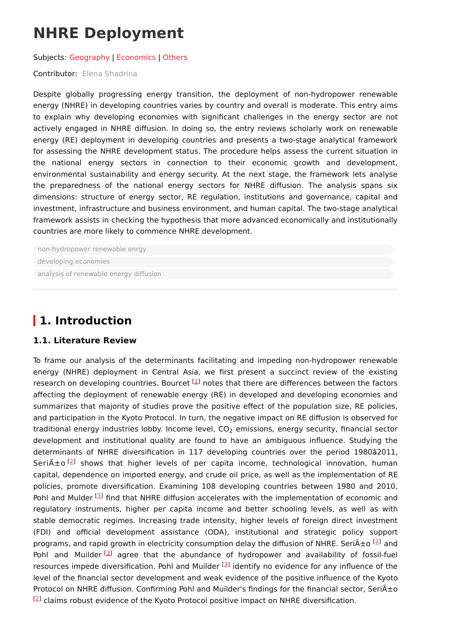# **NHRE Deployment**

#### Subjects: [Geography](https://encyclopedia.pub/entry/subject/295) | [Economics](https://encyclopedia.pub/entry/subject/314) | [Others](https://encyclopedia.pub/entry/subject/139)

### Contributor: Elena [Shadrina](https://sciprofiles.com/profile/1087018)

Despite globally progressing energy transition, the deployment of non-hydropower renewable energy (NHRE) in developing countries varies by country and overall is moderate. This entry aims to explain why developing economies with significant challenges in the energy sector are not actively engaged in NHRE diffusion. In doing so, the entry reviews scholarly work on renewable energy (RE) deployment in developing countries and presents a two-stage analytical framework for assessing the NHRE development status. The procedure helps assess the current situation in the national energy sectors in connection to their economic growth and development, environmental sustainability and energy security. At the next stage, the framework lets analyse the preparedness of the national energy sectors for NHRE diffusion. The analysis spans six dimensions: structure of energy sector, RE regulation, institutions and governance, capital and investment, infrastructure and business environment, and human capital. The two-stage analytical framework assists in checking the hypothesis that more advanced economically and institutionally countries are more likely to commence NHRE development.

[non-hydropower](https://encyclopedia.pub/search/?basic_keyword=non-hydropower%20renewable%20enrgy) renewable enrgy [developing](https://encyclopedia.pub/search/?basic_keyword=developing%20economies) economies analysis of [renewable](https://encyclopedia.pub/search/?basic_keyword=analysis%20of%20renewable%20energy%20diffusion) energy diffusion

# **1. Introduction**

### **1.1. Literature Review**

To frame our analysis of the determinants facilitating and impeding non-hydropower renewable energy (NHRE) deployment in Central Asia, we first present a succinct review of the existing research on developing countries. Bourcet  $^{[1]}$  $^{[1]}$  $^{[1]}$  notes that there are differences between the factors affecting the deployment of renewable energy (RE) in developed and developing economies and summarizes that majority of studies prove the positive effect of the population size, RE policies, and participation in the Kyoto Protocol. In turn, the negative impact on RE diffusion is observed for traditional energy industries lobby. Income level, CO $_{\rm 2}$  emissions, energy security, financial sector development and institutional quality are found to have an ambiguous influence. Studying the determinants of NHRE diversification in 117 developing countries over the period 1980â2011, Seriño<sup>[[2](#page-4-1)]</sup> shows that higher levels of per capita income, technological innovation, human capital, dependence on imported energy, and crude oil price, as well as the implementation of RE policies, promote diversification. Examining 108 developing countries between 1980 and 2010, Pohl and Mulder <sup>[[3](#page-4-2)]</sup> find that NHRE diffusion accelerates with the implementation of economic and regulatory instruments, higher per capita income and better schooling levels, as well as with stable democratic regimes. Increasing trade intensity, higher levels of foreign direct investment (FDI) and official development assistance (ODA), institutional and strategic policy support programs, and rapid growth in electricity consumption delay the diffusion of NHRE. Seri $\tilde{A} \pm o$  [\[2](#page-4-1)] and Pohl and Muilder<sup>[[3](#page-4-2)]</sup> agree that the abundance of hydropower and availability of fossil-fuel resources impede diversification. Pohl and Muilder <sup>[\[3](#page-4-2)]</sup> identify no evidence for any influence of the level of the financial sector development and weak evidence of the positive influence of the Kyoto Protocol on NHRE diffusion. Confirming Pohl and Muilder's findings for the financial sector, Seri $\tilde{A} \pm o$  $[2]$  $[2]$  claims robust evidence of the Kyoto Protocol positive impact on NHRE diversification.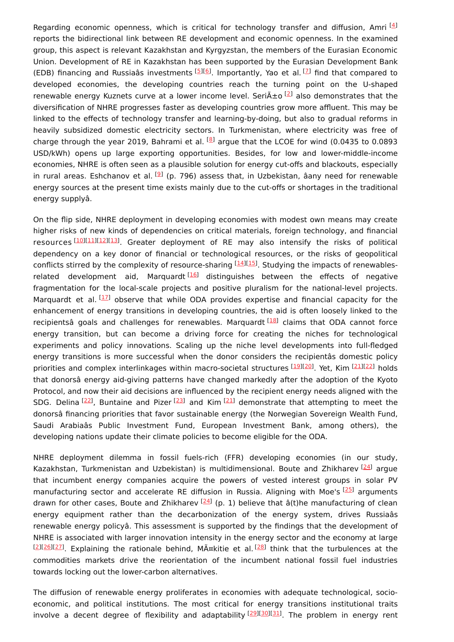Regarding economic openness, which is critical for technology transfer and diffusion, Amri<sup>[\[4](#page-4-3)]</sup> reports the bidirectional link between RE development and economic openness. In the examined group, this aspect is relevant Kazakhstan and Kyrgyzstan, the members of the Eurasian Economic Union. Development of RE in Kazakhstan has been supported by the Eurasian Development Bank (EDB) financing and Russiaâs investments [\[5](#page-4-4)16]. Importantly, Yao et al. [[7](#page-4-6)] find that compared to developed economies, the developing countries reach the turning point on the U-shaped renewable energy Kuznets curve at a lower income level. Seri $\tilde{A}$ ±o  $^{[2]}$  $^{[2]}$  $^{[2]}$  also demonstrates that the diversification of NHRE progresses faster as developing countries grow more affluent. This may be linked to the effects of technology transfer and learning-by-doing, but also to gradual reforms in heavily subsidized domestic electricity sectors. In Turkmenistan, where electricity was free of charge through the year 2019, Bahrami et al. <sup>[[8](#page-4-7)]</sup> argue that the LCOE for wind (0.0435 to 0.0893 USD/kWh) opens up large exporting opportunities. Besides, for low and lower-middle-income economies, NHRE is often seen as a plausible solution for energy cut-offs and blackouts, especially in rural areas. Eshchanov et al. <sup>[[9](#page-4-8)]</sup> (p. 796) assess that, in Uzbekistan, âany need for renewable energy sources at the present time exists mainly due to the cut-offs or shortages in the traditional energy supplyâ.

On the flip side, NHRE deployment in developing economies with modest own means may create higher risks of new kinds of dependencies on critical materials, foreign technology, and financial resources [[10\]](#page-4-9)[[11\]](#page-4-10)[[12\]](#page-4-11)[[13\]](#page-4-12). Greater deployment of RE may also intensify the risks of political dependency on a key donor of financial or technological resources, or the risks of geopolitical conflicts stirred by the complexity of resource-sharing <sup>[\[14\]](#page-4-13)[[15](#page-4-14)]</sup>. Studying the impacts of renewables-related development aid, Marquardt<sup>[\[16](#page-4-15)]</sup> distinguishes between the effects of negative fragmentation for the local-scale projects and positive pluralism for the national-level projects. Marquardt et al. [[17\]](#page-5-0) observe that while ODA provides expertise and financial capacity for the enhancement of energy transitions in developing countries, the aid is often loosely linked to the recipientsâ goals and challenges for renewables. Marquardt [\[18](#page-5-1)] claims that ODA cannot force energy transition, but can become a driving force for creating the niches for technological experiments and policy innovations. Scaling up the niche level developments into full-fledged energy transitions is more successful when the donor considers the recipientâs domestic policy priorities and complex interlinkages within macro-societal structures [\[19](#page-5-2)][\[20](#page-5-3)]. Yet, Kim [\[21](#page-5-4)][\[22](#page-5-5)] holds that donorsâ energy aid-giving patterns have changed markedly after the adoption of the Kyoto Protocol, and now their aid decisions are influenced by the recipient energy needs aligned with the SDG. Delina  $[22]$  $[22]$  $[22]$ , Buntaine and Pizer  $[23]$  $[23]$  and Kim  $[21]$  $[21]$  $[21]$  demonstrate that attempting to meet the donorsâ financing priorities that favor sustainable energy (the Norwegian Sovereign Wealth Fund, Saudi Arabiaâs Public Investment Fund, European Investment Bank, among others), the developing nations update their climate policies to become eligible for the ODA.

NHRE deployment dilemma in fossil fuels-rich (FFR) developing economies (in our study, Kazakhstan, Turkmenistan and Uzbekistan) is multidimensional. Boute and Zhikharev <a>[\[24](#page-5-7)]</a> argue that incumbent energy companies acquire the powers of vested interest groups in solar PV manufacturing sector and accelerate RE diffusion in Russia. Aligning with Moe's [\[25](#page-5-8)] arguments drawn for other cases, Boute and Zhikharev  $^{[24]}$  $^{[24]}$  $^{[24]}$  (p. 1) believe that â(t)he manufacturing of clean energy equipment rather than the decarbonization of the energy system, drives Russiaâs renewable energy policyâ. This assessment is supported by the findings that the development of NHRE is associated with larger innovation intensity in the energy sector and the economy at large [\[2](#page-4-1)][\[26](#page-5-9)][\[27](#page-5-10)]. Explaining the rationale behind, Mäkitie et al.<sup>[[28\]](#page-5-11)</sup> think that the turbulences at the commodities markets drive the reorientation of the incumbent national fossil fuel industries towards locking out the lower-carbon alternatives.

The diffusion of renewable energy proliferates in economies with adequate technological, socioeconomic, and political institutions. The most critical for energy transitions institutional traits involve a decent degree of flexibility and adaptability [\[29](#page-5-12)][\[30](#page-5-13)][\[31](#page-5-14)]. The problem in energy rent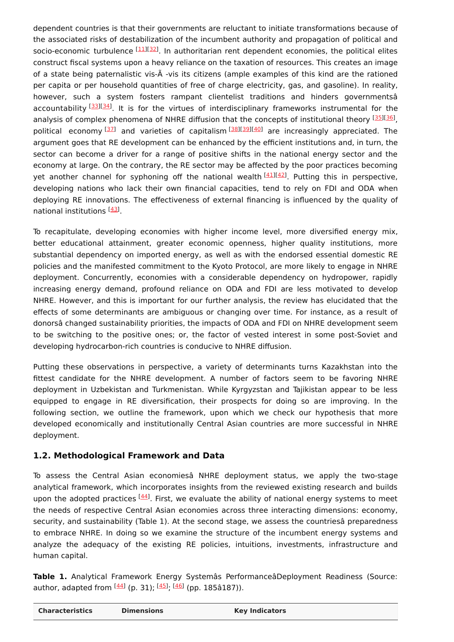dependent countries is that their governments are reluctant to initiate transformations because of the associated risks of destabilization of the incumbent authority and propagation of political and socio-economic turbulence <sup>[[11\]](#page-4-10)[[32\]](#page-5-15)</sup>. In authoritarian rent dependent economies, the political elites construct fiscal systems upon a heavy reliance on the taxation of resources. This creates an image of a state being paternalistic vis-Ã -vis its citizens (ample examples of this kind are the rationed per capita or per household quantities of free of charge electricity, gas, and gasoline). In reality, however, such a system fosters rampant clientelist traditions and hinders governmentsâ accountability [\[33](#page-5-16)][\[34](#page-5-17)]. It is for the virtues of interdisciplinary frameworks instrumental for the analysis of complex phenomena of NHRE diffusion that the concepts of institutional theory [\[35](#page-6-0)][\[36](#page-6-1)], political economy [[37](#page-6-2)] and varieties of capitalism [\[38](#page-6-3)][\[39](#page-6-4)][\[40](#page-6-5)] are increasingly appreciated. The argument goes that RE development can be enhanced by the efficient institutions and, in turn, the sector can become a driver for a range of positive shifts in the national energy sector and the economy at large. On the contrary, the RE sector may be affected by the poor practices becoming yet another channel for syphoning off the national wealth<sup>[[41\]](#page-6-6)[[42\]](#page-6-7)</sup>. Putting this in perspective, developing nations who lack their own financial capacities, tend to rely on FDI and ODA when deploying RE innovations. The effectiveness of external financing is influenced by the quality of national institutions [[43\]](#page-6-8)

To recapitulate, developing economies with higher income level, more diversified energy mix, better educational attainment, greater economic openness, higher quality institutions, more substantial dependency on imported energy, as well as with the endorsed essential domestic RE policies and the manifested commitment to the Kyoto Protocol, are more likely to engage in NHRE deployment. Concurrently, economies with a considerable dependency on hydropower, rapidly increasing energy demand, profound reliance on ODA and FDI are less motivated to develop NHRE. However, and this is important for our further analysis, the review has elucidated that the effects of some determinants are ambiguous or changing over time. For instance, as a result of donorsâ changed sustainability priorities, the impacts of ODA and FDI on NHRE development seem to be switching to the positive ones; or, the factor of vested interest in some post-Soviet and developing hydrocarbon-rich countries is conducive to NHRE diffusion.

Putting these observations in perspective, a variety of determinants turns Kazakhstan into the fittest candidate for the NHRE development. A number of factors seem to be favoring NHRE deployment in Uzbekistan and Turkmenistan. While Kyrgyzstan and Tajikistan appear to be less equipped to engage in RE diversification, their prospects for doing so are improving. In the following section, we outline the framework, upon which we check our hypothesis that more developed economically and institutionally Central Asian countries are more successful in NHRE deployment.

### **1.2. Methodological Framework and Data**

To assess the Central Asian economiesâ NHRE deployment status, we apply the two-stage analytical framework, which incorporates insights from the reviewed existing research and builds upon the adopted practices <sup>[\[44\]](#page-6-9)</sup>. First, we evaluate the ability of national energy systems to meet the needs of respective Central Asian economies across three interacting dimensions: economy, security, and sustainability (Table 1). At the second stage, we assess the countriesâ preparedness to embrace NHRE. In doing so we examine the structure of the incumbent energy systems and analyze the adequacy of the existing RE policies, intuitions, investments, infrastructure and human capital.

**Table 1.** Analytical Framework Energy Systemâs PerformanceâDeployment Readiness (Source: author, adapted from <sup>[<u>44</u>]</sup> (p. 31); <sup>[<u>45</u>]</sup>; <sup>[[46](#page-6-11)]</sup> (pp. 185â187)).

| <b>Characteristics</b> | <b>Dimensions</b> | <b>Key Indicators</b> |
|------------------------|-------------------|-----------------------|
|------------------------|-------------------|-----------------------|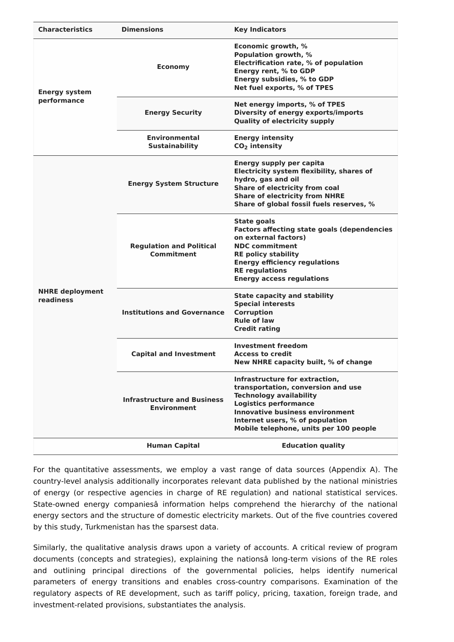| <b>Characteristics</b>              | <b>Dimensions</b>                                        | <b>Key Indicators</b>                                                                                                                                                                                                                                         |
|-------------------------------------|----------------------------------------------------------|---------------------------------------------------------------------------------------------------------------------------------------------------------------------------------------------------------------------------------------------------------------|
| <b>Energy system</b><br>performance | <b>Economy</b>                                           | Economic growth, %<br>Population growth, %<br>Electrification rate, % of population<br>Energy rent, % to GDP<br>Energy subsidies, % to GDP<br>Net fuel exports, % of TPES                                                                                     |
|                                     | <b>Energy Security</b>                                   | Net energy imports, % of TPES<br><b>Diversity of energy exports/imports</b><br><b>Quality of electricity supply</b>                                                                                                                                           |
|                                     | <b>Environmental</b><br><b>Sustainability</b>            | <b>Energy intensity</b><br>$CO2$ intensity                                                                                                                                                                                                                    |
| <b>NHRE</b> deployment<br>readiness | <b>Energy System Structure</b>                           | <b>Energy supply per capita</b><br>Electricity system flexibility, shares of<br>hydro, gas and oil<br>Share of electricity from coal<br><b>Share of electricity from NHRE</b><br>Share of global fossil fuels reserves, %                                     |
|                                     | <b>Regulation and Political</b><br>Commitment            | <b>State goals</b><br><b>Factors affecting state goals (dependencies</b><br>on external factors)<br><b>NDC commitment</b><br><b>RE policy stability</b><br><b>Energy efficiency regulations</b><br><b>RE regulations</b><br><b>Energy access regulations</b>  |
|                                     | <b>Institutions and Governance</b>                       | <b>State capacity and stability</b><br><b>Special interests</b><br><b>Corruption</b><br><b>Rule of law</b><br><b>Credit rating</b>                                                                                                                            |
|                                     | <b>Capital and Investment</b>                            | <b>Investment freedom</b><br><b>Access to credit</b><br>New NHRE capacity built, % of change                                                                                                                                                                  |
|                                     | <b>Infrastructure and Business</b><br><b>Environment</b> | Infrastructure for extraction,<br>transportation, conversion and use<br><b>Technology availability</b><br><b>Logistics performance</b><br><b>Innovative business environment</b><br>Internet users, % of population<br>Mobile telephone, units per 100 people |
|                                     | <b>Human Capital</b>                                     | <b>Education quality</b>                                                                                                                                                                                                                                      |

For the quantitative assessments, we employ a vast range of data sources (Appendix A). The country-level analysis additionally incorporates relevant data published by the national ministries of energy (or respective agencies in charge of RE regulation) and national statistical services. State-owned energy companiesâ information helps comprehend the hierarchy of the national energy sectors and the structure of domestic electricity markets. Out of the five countries covered by this study, Turkmenistan has the sparsest data.

Similarly, the qualitative analysis draws upon a variety of accounts. A critical review of program documents (concepts and strategies), explaining the nationsâ long-term visions of the RE roles and outlining principal directions of the governmental policies, helps identify numerical parameters of energy transitions and enables cross-country comparisons. Examination of the regulatory aspects of RE development, such as tariff policy, pricing, taxation, foreign trade, and investment-related provisions, substantiates the analysis.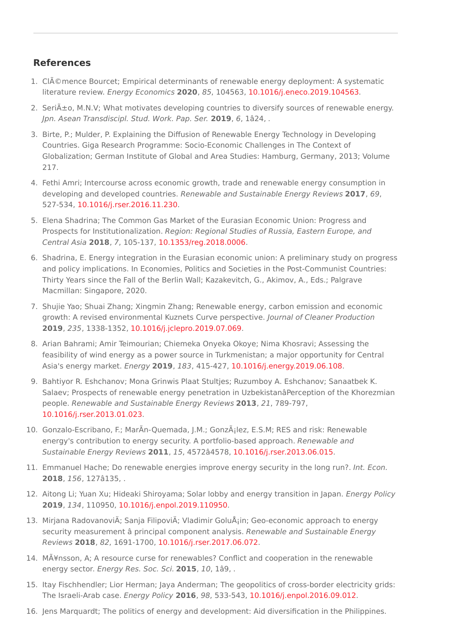## **References**

- <span id="page-4-0"></span>1. CIémence Bourcet; Empirical determinants of renewable energy deployment: A systematic literature review. Energy Economics **2020**, 85, 104563, [10.1016/j.eneco.2019.104563](http://doi.org/10.1016/j.eneco.2019.104563).
- <span id="page-4-1"></span>2. Seri $\tilde{A}$ ±o, M.N.V; What motivates developing countries to diversify sources of renewable energy. Jpn. Asean Transdiscipl. Stud. Work. Pap. Ser. **2019**, 6, 1â24, .
- <span id="page-4-2"></span>3. Birte, P.; Mulder, P. Explaining the Diffusion of Renewable Energy Technology in Developing Countries. Giga Research Programme: Socio-Economic Challenges in The Context of Globalization; German Institute of Global and Area Studies: Hamburg, Germany, 2013; Volume 217.
- <span id="page-4-3"></span>4. Fethi Amri; Intercourse across economic growth, trade and renewable energy consumption in developing and developed countries. Renewable and Sustainable Energy Reviews **2017**, 69, 527-534, [10.1016/j.rser.2016.11.230](http://doi.org/10.1016/j.rser.2016.11.230).
- <span id="page-4-4"></span>5. Elena Shadrina; The Common Gas Market of the Eurasian Economic Union: Progress and Prospects for Institutionalization. Region: Regional Studies of Russia, Eastern Europe, and Central Asia **2018**, 7, 105-137, [10.1353/reg.2018.0006.](http://doi.org/10.1353/reg.2018.0006)
- <span id="page-4-5"></span>6. Shadrina, E. Energy integration in the Eurasian economic union: A preliminary study on progress and policy implications. In Economies, Politics and Societies in the Post-Communist Countries: Thirty Years since the Fall of the Berlin Wall; Kazakevitch, G., Akimov, A., Eds.; Palgrave Macmillan: Singapore, 2020.
- <span id="page-4-6"></span>7. Shujie Yao; Shuai Zhang; Xingmin Zhang; Renewable energy, carbon emission and economic growth: A revised environmental Kuznets Curve perspective. Journal of Cleaner Production **2019**, 235, 1338-1352, [10.1016/j.jclepro.2019.07.069](http://doi.org/10.1016/j.jclepro.2019.07.069).
- <span id="page-4-7"></span>8. Arian Bahrami; Amir Teimourian; Chiemeka Onyeka Okoye; Nima Khosravi; Assessing the feasibility of wind energy as a power source in Turkmenistan; a major opportunity for Central Asia's energy market. Energy **2019**, 183, 415-427, [10.1016/j.energy.2019.06.108](http://doi.org/10.1016/j.energy.2019.06.108).
- <span id="page-4-8"></span>9. Bahtiyor R. Eshchanov; Mona Grinwis Plaat Stultjes; Ruzumboy A. Eshchanov; Sanaatbek K. Salaev; Prospects of renewable energy penetration in UzbekistanâPerception of the Khorezmian people. Renewable and Sustainable Energy Reviews **2013**, 21, 789-797, [10.1016/j.rser.2013.01.023](http://doi.org/10.1016/j.rser.2013.01.023).
- <span id="page-4-9"></span>10. Gonzalo-Escribano, F.; MarÃn-Quemada, J.M.; González, E.S.M; RES and risk: Renewable energy's contribution to energy security. A portfolio-based approach. Renewable and Sustainable Energy Reviews **2011**, 15, 4572â4578, [10.1016/j.rser.2013.06.015](http://doi.org/10.1016/j.rser.2013.06.015).
- <span id="page-4-10"></span>11. Emmanuel Hache; Do renewable energies improve energy security in the long run?. Int. Econ. **2018**, 156, 127â135, .
- <span id="page-4-11"></span>12. Aitong Li; Yuan Xu; Hideaki Shiroyama; Solar lobby and energy transition in Japan. Energy Policy **2019**, 134, 110950, [10.1016/j.enpol.2019.110950](http://doi.org/10.1016/j.enpol.2019.110950).
- <span id="page-4-12"></span>13. Mirjana RadovanoviÄ; Sanja FilipoviÄ; Vladimir GoluÅ; in; Geo-economic approach to energy security measurement â principal component analysis. Renewable and Sustainable Energy Reviews **2018**, 82, 1691-1700, [10.1016/j.rser.2017.06.072](http://doi.org/10.1016/j.rser.2017.06.072).
- <span id="page-4-13"></span>14. MÃ¥nsson, A; A resource curse for renewables? Conflict and cooperation in the renewable energy sector. Energy Res. Soc. Sci. **2015**, 10, 1â9, .
- <span id="page-4-14"></span>15. Itay Fischhendler; Lior Herman; Jaya Anderman; The geopolitics of cross-border electricity grids: The Israeli-Arab case. Energy Policy **2016**, 98, 533-543, [10.1016/j.enpol.2016.09.012](http://doi.org/10.1016/j.enpol.2016.09.012).
- <span id="page-4-15"></span>16. Jens Marquardt; The politics of energy and development: Aid diversification in the Philippines.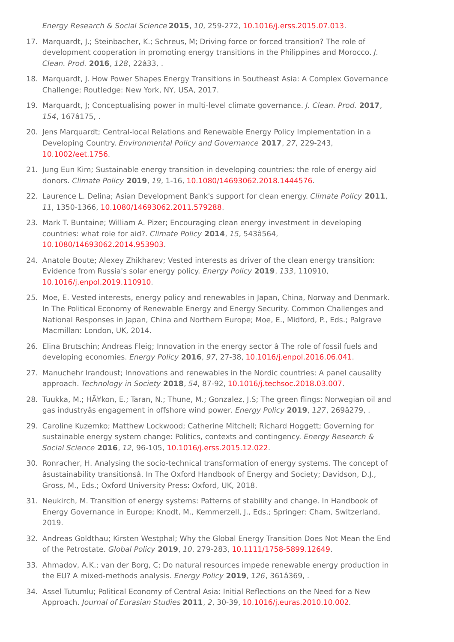<span id="page-5-0"></span>Energy Research & Social Science **2015**, 10, 259-272, [10.1016/j.erss.2015.07.013](http://doi.org/10.1016/j.erss.2015.07.013).

- 17. Marquardt, J.; Steinbacher, K.; Schreus, M; Driving force or forced transition? The role of development cooperation in promoting energy transitions in the Philippines and Morocco. J. Clean. Prod. **2016**, 128, 22â33, .
- <span id="page-5-1"></span>18. Marquardt, J. How Power Shapes Energy Transitions in Southeast Asia: A Complex Governance Challenge; Routledge: New York, NY, USA, 2017.
- <span id="page-5-2"></span>19. Marquardt, J; Conceptualising power in multi-level climate governance. J. Clean. Prod. **2017**, 154, 167â175, .
- <span id="page-5-3"></span>20. Jens Marquardt; Central-local Relations and Renewable Energy Policy Implementation in a Developing Country. Environmental Policy and Governance **2017**, 27, 229-243, [10.1002/eet.1756](http://doi.org/10.1002/eet.1756).
- <span id="page-5-4"></span>21. Jung Eun Kim; Sustainable energy transition in developing countries: the role of energy aid donors. Climate Policy **2019**, 19, 1-16, [10.1080/14693062.2018.1444576.](http://doi.org/10.1080/14693062.2018.1444576)
- <span id="page-5-5"></span>22. Laurence L. Delina; Asian Development Bank's support for clean energy. Climate Policy **2011**, 11, 1350-1366, [10.1080/14693062.2011.579288](http://doi.org/10.1080/14693062.2011.579288).
- <span id="page-5-6"></span>23. Mark T. Buntaine; William A. Pizer; Encouraging clean energy investment in developing countries: what role for aid?. Climate Policy **2014**, 15, 543â564, [10.1080/14693062.2014.953903](http://doi.org/10.1080/14693062.2014.953903).
- <span id="page-5-7"></span>24. Anatole Boute; Alexey Zhikharev; Vested interests as driver of the clean energy transition: Evidence from Russia's solar energy policy. Energy Policy **2019**, 133, 110910, [10.1016/j.enpol.2019.110910](http://doi.org/10.1016/j.enpol.2019.110910).
- <span id="page-5-8"></span>25. Moe, E. Vested interests, energy policy and renewables in Japan, China, Norway and Denmark. In The Political Economy of Renewable Energy and Energy Security. Common Challenges and National Responses in Japan, China and Northern Europe; Moe, E., Midford, P., Eds.; Palgrave Macmillan: London, UK, 2014.
- <span id="page-5-10"></span>26. Elina Brutschin; Andreas Fleig; Innovation in the energy sector â The role of fossil fuels and developing economies. Energy Policy **2016**, 97, 27-38, [10.1016/j.enpol.2016.06.041](http://doi.org/10.1016/j.enpol.2016.06.041).
- <span id="page-5-9"></span>27. Manuchehr Irandoust; Innovations and renewables in the Nordic countries: A panel causality approach. Technology in Society **2018**, 54, 87-92, [10.1016/j.techsoc.2018.03.007](http://doi.org/10.1016/j.techsoc.2018.03.007).
- <span id="page-5-11"></span>28. Tuukka, M.; HÃ¥kon, E.; Taran, N.; Thune, M.; Gonzalez, J.S; The green flings: Norwegian oil and gas industryâs engagement in offshore wind power. Energy Policy **2019**, 127, 269â279, .
- <span id="page-5-12"></span>29. Caroline Kuzemko; Matthew Lockwood; Catherine Mitchell; Richard Hoggett; Governing for sustainable energy system change: Politics, contexts and contingency. Energy Research & Social Science **2016**, 12, 96-105, [10.1016/j.erss.2015.12.022](http://doi.org/10.1016/j.erss.2015.12.022).
- <span id="page-5-13"></span>30. Ronracher, H. Analysing the socio-technical transformation of energy systems. The concept of âsustainability transitionsâ. In The Oxford Handbook of Energy and Society; Davidson, D.J., Gross, M., Eds.; Oxford University Press: Oxford, UK, 2018.
- <span id="page-5-14"></span>31. Neukirch, M. Transition of energy systems: Patterns of stability and change. In Handbook of Energy Governance in Europe; Knodt, M., Kemmerzell, J., Eds.; Springer: Cham, Switzerland, 2019.
- <span id="page-5-15"></span>32. Andreas Goldthau; Kirsten Westphal; Why the Global Energy Transition Does Not Mean the End of the Petrostate. Global Policy **2019**, 10, 279-283, [10.1111/1758-5899.12649](http://doi.org/10.1111/1758-5899.12649).
- <span id="page-5-16"></span>33. Ahmadov, A.K.; van der Borg, C; Do natural resources impede renewable energy production in the EU? A mixed-methods analysis. Energy Policy **2019**, 126, 361â369, .
- <span id="page-5-17"></span>34. Assel Tutumlu; Political Economy of Central Asia: Initial Reflections on the Need for a New Approach. Journal of Eurasian Studies **2011**, 2, 30-39, [10.1016/j.euras.2010.10.002](http://doi.org/10.1016/j.euras.2010.10.002).